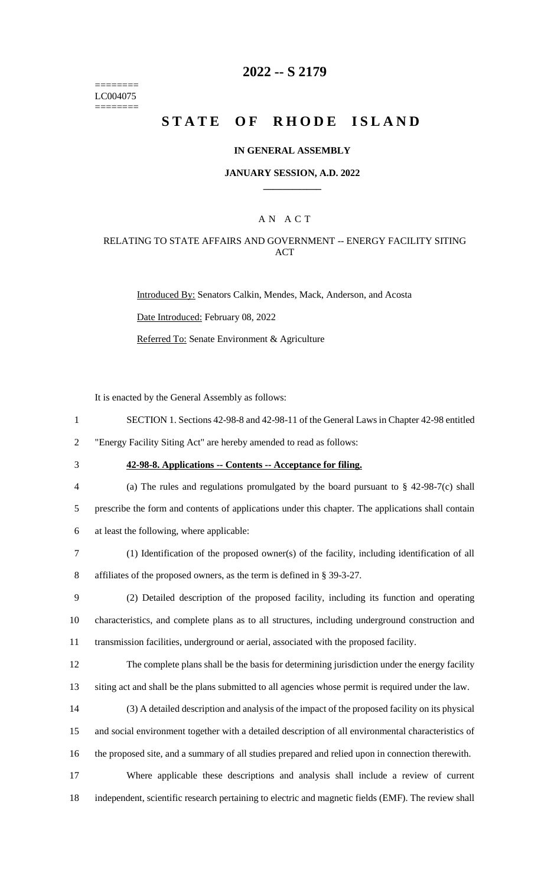======== LC004075 ========

## **2022 -- S 2179**

# **STATE OF RHODE ISLAND**

#### **IN GENERAL ASSEMBLY**

#### **JANUARY SESSION, A.D. 2022 \_\_\_\_\_\_\_\_\_\_\_\_**

### A N A C T

### RELATING TO STATE AFFAIRS AND GOVERNMENT -- ENERGY FACILITY SITING ACT

Introduced By: Senators Calkin, Mendes, Mack, Anderson, and Acosta Date Introduced: February 08, 2022 Referred To: Senate Environment & Agriculture

It is enacted by the General Assembly as follows:

- 1 SECTION 1. Sections 42-98-8 and 42-98-11 of the General Laws in Chapter 42-98 entitled
- 2 "Energy Facility Siting Act" are hereby amended to read as follows:
- 

## 3 **42-98-8. Applications -- Contents -- Acceptance for filing.**

4 (a) The rules and regulations promulgated by the board pursuant to § 42-98-7(c) shall 5 prescribe the form and contents of applications under this chapter. The applications shall contain 6 at least the following, where applicable:

7 (1) Identification of the proposed owner(s) of the facility, including identification of all 8 affiliates of the proposed owners, as the term is defined in § 39-3-27.

9 (2) Detailed description of the proposed facility, including its function and operating 10 characteristics, and complete plans as to all structures, including underground construction and 11 transmission facilities, underground or aerial, associated with the proposed facility.

12 The complete plans shall be the basis for determining jurisdiction under the energy facility 13 siting act and shall be the plans submitted to all agencies whose permit is required under the law.

14 (3) A detailed description and analysis of the impact of the proposed facility on its physical

15 and social environment together with a detailed description of all environmental characteristics of 16 the proposed site, and a summary of all studies prepared and relied upon in connection therewith.

17 Where applicable these descriptions and analysis shall include a review of current 18 independent, scientific research pertaining to electric and magnetic fields (EMF). The review shall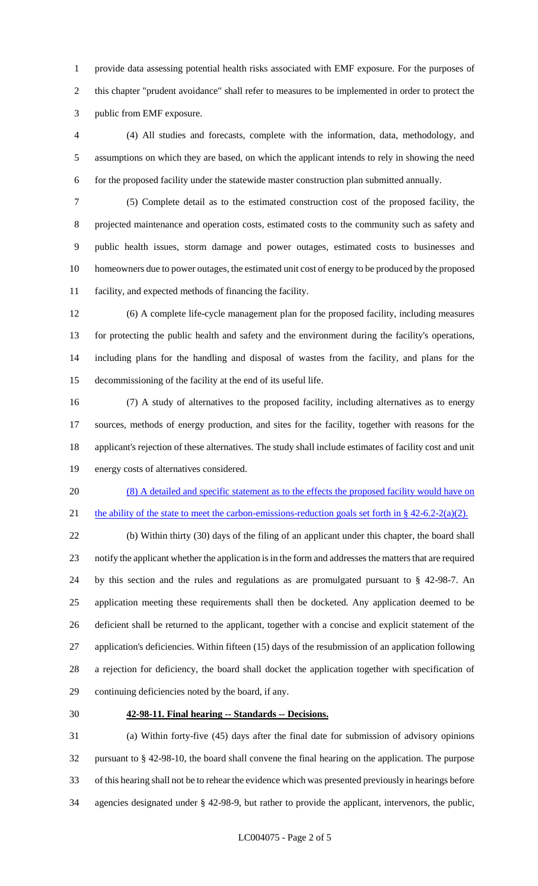provide data assessing potential health risks associated with EMF exposure. For the purposes of this chapter "prudent avoidance" shall refer to measures to be implemented in order to protect the public from EMF exposure.

 (4) All studies and forecasts, complete with the information, data, methodology, and assumptions on which they are based, on which the applicant intends to rely in showing the need for the proposed facility under the statewide master construction plan submitted annually.

 (5) Complete detail as to the estimated construction cost of the proposed facility, the projected maintenance and operation costs, estimated costs to the community such as safety and public health issues, storm damage and power outages, estimated costs to businesses and homeowners due to power outages, the estimated unit cost of energy to be produced by the proposed facility, and expected methods of financing the facility.

 (6) A complete life-cycle management plan for the proposed facility, including measures for protecting the public health and safety and the environment during the facility's operations, including plans for the handling and disposal of wastes from the facility, and plans for the decommissioning of the facility at the end of its useful life.

 (7) A study of alternatives to the proposed facility, including alternatives as to energy sources, methods of energy production, and sites for the facility, together with reasons for the applicant's rejection of these alternatives. The study shall include estimates of facility cost and unit energy costs of alternatives considered.

 (8) A detailed and specific statement as to the effects the proposed facility would have on 21 the ability of the state to meet the carbon-emissions-reduction goals set forth in  $\S$  42-6.2-2(a)(2).

 (b) Within thirty (30) days of the filing of an applicant under this chapter, the board shall notify the applicant whether the application is in the form and addresses the matters that are required by this section and the rules and regulations as are promulgated pursuant to § 42-98-7. An application meeting these requirements shall then be docketed. Any application deemed to be deficient shall be returned to the applicant, together with a concise and explicit statement of the application's deficiencies. Within fifteen (15) days of the resubmission of an application following a rejection for deficiency, the board shall docket the application together with specification of continuing deficiencies noted by the board, if any.

### **42-98-11. Final hearing -- Standards -- Decisions.**

 (a) Within forty-five (45) days after the final date for submission of advisory opinions pursuant to § 42-98-10, the board shall convene the final hearing on the application. The purpose of this hearing shall not be to rehear the evidence which was presented previously in hearings before agencies designated under § 42-98-9, but rather to provide the applicant, intervenors, the public,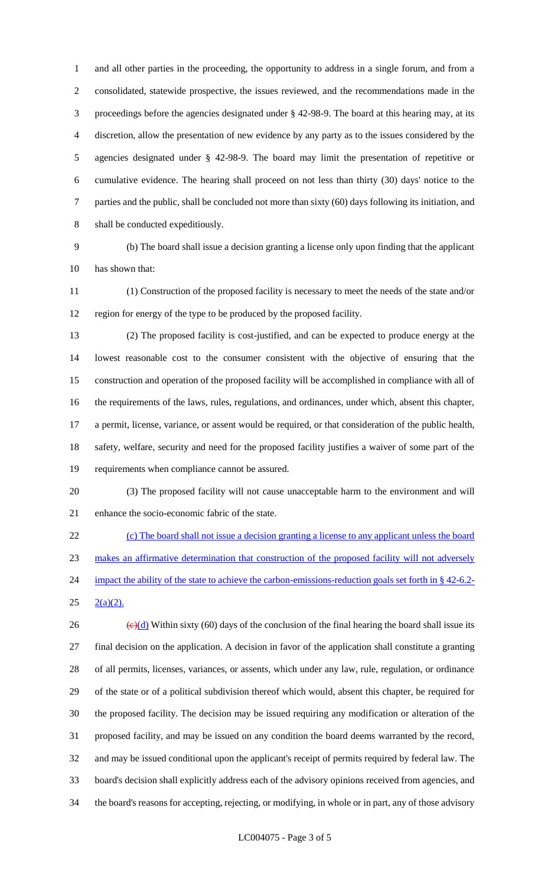and all other parties in the proceeding, the opportunity to address in a single forum, and from a consolidated, statewide prospective, the issues reviewed, and the recommendations made in the proceedings before the agencies designated under § 42-98-9. The board at this hearing may, at its discretion, allow the presentation of new evidence by any party as to the issues considered by the agencies designated under § 42-98-9. The board may limit the presentation of repetitive or cumulative evidence. The hearing shall proceed on not less than thirty (30) days' notice to the parties and the public, shall be concluded not more than sixty (60) days following its initiation, and shall be conducted expeditiously.

 (b) The board shall issue a decision granting a license only upon finding that the applicant has shown that:

 (1) Construction of the proposed facility is necessary to meet the needs of the state and/or region for energy of the type to be produced by the proposed facility.

 (2) The proposed facility is cost-justified, and can be expected to produce energy at the lowest reasonable cost to the consumer consistent with the objective of ensuring that the construction and operation of the proposed facility will be accomplished in compliance with all of the requirements of the laws, rules, regulations, and ordinances, under which, absent this chapter, a permit, license, variance, or assent would be required, or that consideration of the public health, safety, welfare, security and need for the proposed facility justifies a waiver of some part of the requirements when compliance cannot be assured.

 (3) The proposed facility will not cause unacceptable harm to the environment and will enhance the socio-economic fabric of the state.

 (c) The board shall not issue a decision granting a license to any applicant unless the board makes an affirmative determination that construction of the proposed facility will not adversely 24 impact the ability of the state to achieve the carbon-emissions-reduction goals set forth in § 42-6.2- $25 \quad 2(a)(2)$ .

 $\left(\frac{e}{d}\right)$  Within sixty (60) days of the conclusion of the final hearing the board shall issue its final decision on the application. A decision in favor of the application shall constitute a granting of all permits, licenses, variances, or assents, which under any law, rule, regulation, or ordinance of the state or of a political subdivision thereof which would, absent this chapter, be required for the proposed facility. The decision may be issued requiring any modification or alteration of the proposed facility, and may be issued on any condition the board deems warranted by the record, and may be issued conditional upon the applicant's receipt of permits required by federal law. The board's decision shall explicitly address each of the advisory opinions received from agencies, and the board's reasons for accepting, rejecting, or modifying, in whole or in part, any of those advisory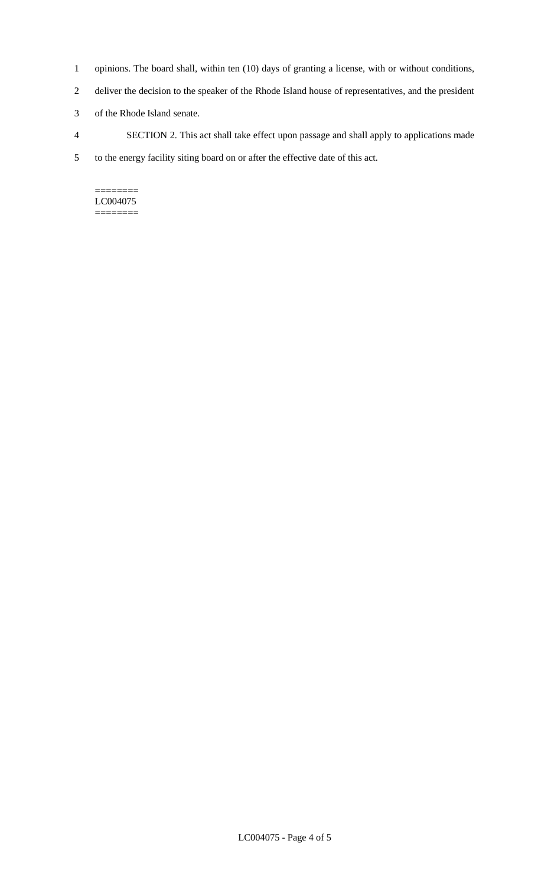- 1 opinions. The board shall, within ten (10) days of granting a license, with or without conditions,
- 2 deliver the decision to the speaker of the Rhode Island house of representatives, and the president
- 3 of the Rhode Island senate.
- 4 SECTION 2. This act shall take effect upon passage and shall apply to applications made
- 5 to the energy facility siting board on or after the effective date of this act.

======== LC004075 ========